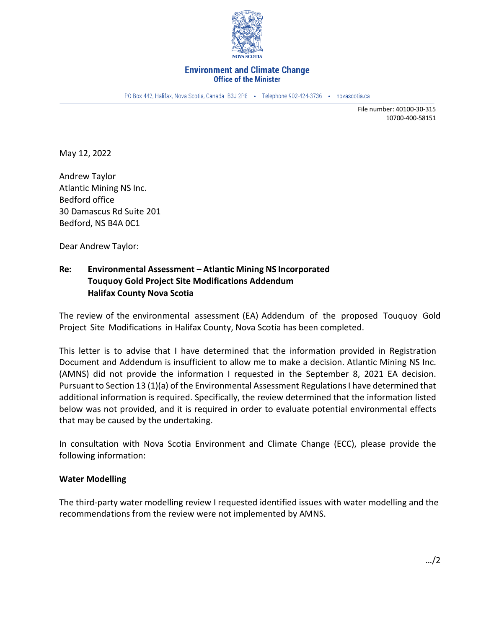

#### **Environment and Climate Change Office of the Minister**

PO Box 442, Halifax, Nova Scotia, Canada B3J 2P8 · Telephone 902-424-3736 · novascotia.ca

File number: 40100-30-315 10700-400-58151

May 12, 2022

Andrew Taylor Atlantic Mining NS Inc. Bedford office 30 Damascus Rd Suite 201 Bedford, NS B4A 0C1

Dear Andrew Taylor:

# **Re: Environmental Assessment – Atlantic Mining NS Incorporated Touquoy Gold Project Site Modifications Addendum Halifax County Nova Scotia**

The review of the environmental assessment (EA) Addendum of the proposed Touquoy Gold Project Site Modifications in Halifax County, Nova Scotia has been completed.

This letter is to advise that I have determined that the information provided in Registration Document and Addendum is insufficient to allow me to make a decision. Atlantic Mining NS Inc. (AMNS) did not provide the information I requested in the September 8, 2021 EA decision. Pursuant to Section 13 (1)(a) of the Environmental Assessment Regulations I have determined that additional information is required. Specifically, the review determined that the information listed below was not provided, and it is required in order to evaluate potential environmental effects that may be caused by the undertaking.

In consultation with Nova Scotia Environment and Climate Change (ECC), please provide the following information:

## **Water Modelling**

The third-party water modelling review I requested identified issues with water modelling and the recommendations from the review were not implemented by AMNS.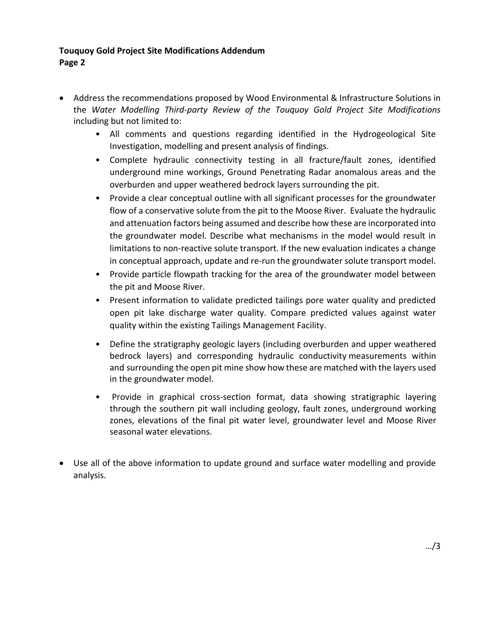# **Touquoy Gold Project Site Modifications Addendum Page 2**

- Address the recommendations proposed by Wood Environmental & Infrastructure Solutions in the *Water Modelling Third-party Review of the Touquoy Gold Project Site Modifications* including but not limited to:
	- All comments and questions regarding identified in the Hydrogeological Site Investigation, modelling and present analysis of findings.
	- Complete hydraulic connectivity testing in all fracture/fault zones, identified underground mine workings, Ground Penetrating Radar anomalous areas and the overburden and upper weathered bedrock layers surrounding the pit.
	- Provide a clear conceptual outline with all significant processes for the groundwater flow of a conservative solute from the pit to the Moose River. Evaluate the hydraulic and attenuation factors being assumed and describe how these are incorporated into the groundwater model. Describe what mechanisms in the model would result in limitations to non-reactive solute transport. If the new evaluation indicates a change in conceptual approach, update and re-run the groundwater solute transport model.
	- Provide particle flowpath tracking for the area of the groundwater model between the pit and Moose River.
	- Present information to validate predicted tailings pore water quality and predicted open pit lake discharge water quality. Compare predicted values against water quality within the existing Tailings Management Facility.
	- Define the stratigraphy geologic layers (including overburden and upper weathered bedrock layers) and corresponding hydraulic conductivity measurements within and surrounding the open pit mine show how these are matched with the layers used in the groundwater model.
	- Provide in graphical cross-section format, data showing stratigraphic layering through the southern pit wall including geology, fault zones, underground working zones, elevations of the final pit water level, groundwater level and Moose River seasonal water elevations.
- Use all of the above information to update ground and surface water modelling and provide analysis.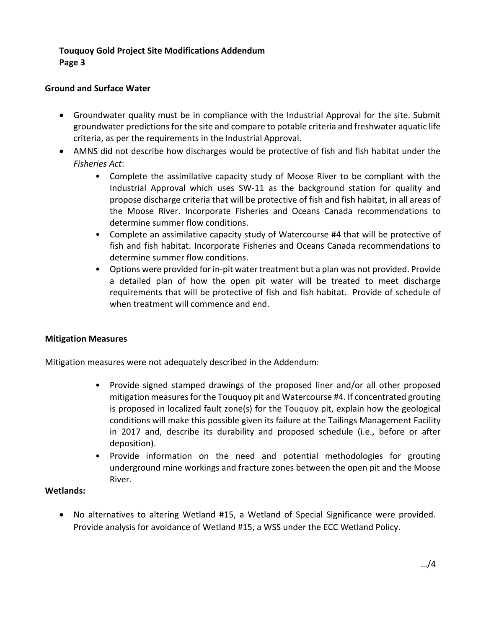# **Touquoy Gold Project Site Modifications Addendum Page 3**

## **Ground and Surface Water**

- Groundwater quality must be in compliance with the Industrial Approval for the site. Submit groundwater predictions for the site and compare to potable criteria and freshwater aquatic life criteria, as per the requirements in the Industrial Approval.
- AMNS did not describe how discharges would be protective of fish and fish habitat under the *Fisheries Act*:
	- Complete the assimilative capacity study of Moose River to be compliant with the Industrial Approval which uses SW-11 as the background station for quality and propose discharge criteria that will be protective of fish and fish habitat, in all areas of the Moose River. Incorporate Fisheries and Oceans Canada recommendations to determine summer flow conditions.
	- Complete an assimilative capacity study of Watercourse #4 that will be protective of fish and fish habitat. Incorporate Fisheries and Oceans Canada recommendations to determine summer flow conditions.
	- Options were provided for in-pit water treatment but a plan was not provided. Provide a detailed plan of how the open pit water will be treated to meet discharge requirements that will be protective of fish and fish habitat. Provide of schedule of when treatment will commence and end.

## **Mitigation Measures**

Mitigation measures were not adequately described in the Addendum:

- Provide signed stamped drawings of the proposed liner and/or all other proposed mitigation measures for the Touquoy pit and Watercourse #4. If concentrated grouting is proposed in localized fault zone(s) for the Touquoy pit, explain how the geological conditions will make this possible given its failure at the Tailings Management Facility in 2017 and, describe its durability and proposed schedule (i.e., before or after deposition).
- Provide information on the need and potential methodologies for grouting underground mine workings and fracture zones between the open pit and the Moose River.

## **Wetlands:**

• No alternatives to altering Wetland #15, a Wetland of Special Significance were provided. Provide analysis for avoidance of Wetland #15, a WSS under the ECC Wetland Policy.